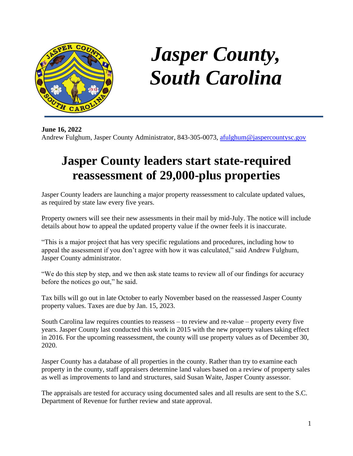

## *Jasper County, South Carolina*

**June 16, 2022** Andrew Fulghum, Jasper County Administrator, 843-305-0073, [afulghum@jaspercountysc.gov](mailto:afulghum@jaspercountysc.gov)

## **Jasper County leaders start state-required reassessment of 29,000-plus properties**

Jasper County leaders are launching a major property reassessment to calculate updated values, as required by state law every five years.

Property owners will see their new assessments in their mail by mid-July. The notice will include details about how to appeal the updated property value if the owner feels it is inaccurate.

"This is a major project that has very specific regulations and procedures, including how to appeal the assessment if you don't agree with how it was calculated," said Andrew Fulghum, Jasper County administrator.

"We do this step by step, and we then ask state teams to review all of our findings for accuracy before the notices go out," he said.

Tax bills will go out in late October to early November based on the reassessed Jasper County property values. Taxes are due by Jan. 15, 2023.

South Carolina law requires counties to reassess – to review and re-value – property every five years. Jasper County last conducted this work in 2015 with the new property values taking effect in 2016. For the upcoming reassessment, the county will use property values as of December 30, 2020.

Jasper County has a database of all properties in the county. Rather than try to examine each property in the county, staff appraisers determine land values based on a review of property sales as well as improvements to land and structures, said Susan Waite, Jasper County assessor.

The appraisals are tested for accuracy using documented sales and all results are sent to the S.C. Department of Revenue for further review and state approval.